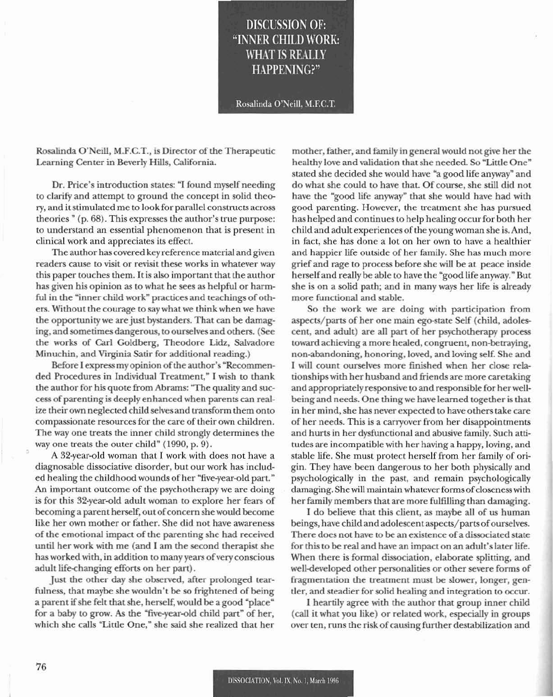## DISCUSSION OF: "INNER CIIILD WORK: WHAT IS REALLY HAPPENING?"

Rosalinda O'Neill, M.F.C.T.

Rosalinda O'Neill, M.F.C.T., is Director of the Therapeutic Learning Center in Beverly Hills, California.

Dr. Price's introduction states: "I found myself needing to clarify and attempt to ground the concept in solid theory, and it stimulated me to look for parallel constructs across theories  $"$  (p. 68). This expresses the author's true purpose: to understand an essential phenomenon that is present in clinical work and appreciates its effect.

The author has covered key reference material and given readers cause to visit or revisit these works in whatever way this paper touches them. It is also important that the author has given his opinion as to what he sees as helpful or harmful in the "inner child work" practices and teachings of others. Without the courage to say what we think when we have the opportunity we are just bystanders. That can be damaging. and sometimes dangerous, to ourselves and others. (See the works of Carl Goldberg, Theodore Lidz, Salvadore Minuchin, and Virginia Satir for additional reading.)

Before I express my opinion of the author's "Recommended Procedures in Individual Treatment," I wish to thank the author for his quote from Abrams: "The quality and success of parenting is deeply enhanced when parents can realize their own neglected child selves and transform them onto compassionate resources for the care of their own children. The way one treats the inner child strongly determines the way one treats the outer child" (1990, p. 9).

A 82-year-old woman that I work with does not have a diagnosable dissociative disorder, but our work has included healing the childhood wounds of her "five-year-old part." An important outcome of the psychotherapy we are doing is for this 32-year-old adult woman to explore her fears of becoming a parent herself, out of concern she would become like her own mother or father. She did not have awareness of the emotionaJ impact of the parenting she had received until her work with me (and I am the second therapist she has worked with, in addition to many years of very conscious adult life-changing efforts on her part).

Just the other day she observed, after prolonged tearfulness. that maybe she wouldn't be so frightened of being a parent if she felt that she, herself, would be a good "place" for a baby to grow. As the "five-year-old child part" of her, which she calls "Little One," she said she realized that her

mother, father. and family in general would not give her the healthy love and validation that she needed. So "Little One" stated she decided she would have "a good life anyway" and do what she could to have that. Of course, she still did not have the "good life anyway" that she would have had with good parenting. However, the treatment she has pursued has helped and continues to help healing occur for both her child and adult experiences of the young woman she is. And, in fact, she has done a lot on her own to have a healthier and happier life outside of her family. She has much more grief and rage to process before she will be at peace inside herself and really be able to have the "good life anyway." But she is on a solid path; and in many ways her life is already more functional and stable.

So the work we are doing with participation from aspects/parts of her one main ego-state Self (child, adolescent, and adult) are all part of her psychotherapy process toward achieving a more healed, congruent, non-betraying, non-abandoning, honoring, loved, and loving self. She and I will count ourselves more finished when her dose relationshipswith her husband and friends are more caretaking and appropriately responsive to and responsible for herwellbeing and needs. One thing we have learned together is that in her mind, she has never expected to have others take care of her needs. This is a carryover from her disappointments and hurts in her dysfunctional and abusive family. Such attitudes are incompatible with her having a happy, loving, and stable life. She must protect herself from her family of origin. They have been dangerous to her both physically and psychologically in the past, and remain psychologically damaging. She will maintain whatever forms of closeness with her family members that are morc fulfilling than damaging.

I do believe that this client, as maybe all of us human beings, have child and adolescent aspects/parts of ourselves. There does not have to be an existence of a dissociated state for this to be real and have an impact on an adult's later life. When there is formal dissociation, elaborate splitting, and well-developed other personalities or other severe forms of fragmentation the treatment must be slower. longer, gentler, and steadier for solid healing and integration to occur.

I heartily agree with the author that group inner child (call it what you like) or related work, especially in groups over ten, runs the risk of causing further destabilization and